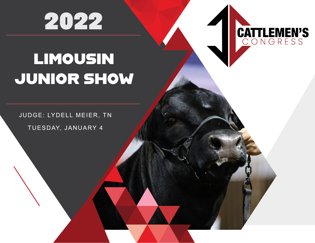

# LIMOUSIN JUNIOR SHOW

JUDGE: LYDELL MEIER, TN

TUESDAY, JANUARY 4

**CATTLEMEN'S**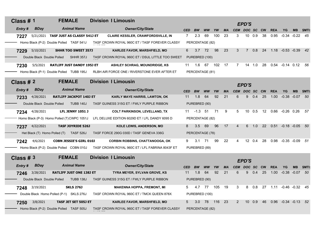| Class # $1$                  | <b>FEMALE</b>                               | <b>Division I Limousin</b>                       |            |                 |           |        |           |                |                            |           |           |            |                       |           |             |
|------------------------------|---------------------------------------------|--------------------------------------------------|------------|-----------------|-----------|--------|-----------|----------------|----------------------------|-----------|-----------|------------|-----------------------|-----------|-------------|
| <b>BDay</b><br>Entry #       | <b>Animal Name</b>                          | <b>Owner/City/State</b>                          | <b>CED</b> | <b>BW</b>       | <b>WW</b> | YW     | <b>MA</b> | <b>CEM</b>     | <b>EPD'S</b><br><b>DOC</b> | <b>SC</b> | <b>CW</b> | <b>REA</b> | YG                    | <b>MB</b> | \$MTI:      |
| 5/21/2021<br>7227            | <b>TASF JUST AS CLASSY 541J ET</b>          | CLAIRE KESSLER, CRAWFORDSVILLE, IN               | 7          | 2.3             | 69        | 100    | 23        | 3              | 10                         | 0.9       | 38        | 0.95       | $-0.34 -0.22$         |           | 45          |
|                              | - Homo Black (P-2) Double Polled TASF 541J  | TASF CROWN ROYAL 960C ET / TASF FOREVER CLASSY   |            | PERCENTAGE (82) |           |        |           |                |                            |           |           |            |                       |           |             |
| 5/10/2021<br>7229            | <b>SHHR TOO SWEET 357J</b>                  | <b>KARLEE FAVOR, MARSHFIELD, MO</b>              | 6          | 3.7             | 72        | 98     | 23        | 3              | $7^{\circ}$                | 0.8       | 24        |            | 1.18 -0.53 -0.39      |           | 42          |
| Double Black Double Polled   | SHHR 357J                                   | TASF CROWN ROYAL 960C ET / DSUL LITTLE TOO SWEET |            | PUREBRED (100)  |           |        |           |                |                            |           |           |            |                       |           |             |
| 5/5/2021<br>7230             | <b>RATLIFF JUST DANDY 195J ET</b>           | <b>ASHLEY SCHRAG, MOUNDRIDGE, KS</b>             | 11         | 1.6             | 67        | 102 17 |           | $7^{\circ}$    |                            | 14 1.0    | 28        |            | 0.54 -0.14 0.12 56    |           |             |
|                              | Homo Black (P-1) Double Polled TUBB 195J    | RLBH AIR FORCE ONE / RIVERSTONE EVER AFTER ET    |            | PERCENTAGE (81) |           |        |           |                |                            |           |           |            |                       |           |             |
| Class $# 2$                  | <b>FEMALE</b>                               | <b>Division I Limousin</b>                       |            |                 |           |        |           |                |                            |           |           |            |                       |           |             |
| <b>Entry#</b><br><b>BDay</b> | <b>Animal Name</b>                          | <b>Owner/City/State</b>                          | <b>CED</b> | BW              |           |        | MА        | <b>CEM</b>     | <b>EPD'S</b><br>DOC SC     |           | <b>CW</b> | <b>REA</b> | YG                    | <b>MB</b> | \$MTI       |
| 4/28/2021<br>7233            | <b>RATLIFF JACKPOT 140J ET</b>              | <b>KARLY MAYE HARRIS, LAWTON, OK</b>             | 11         | 1.8             | 64        | 92     | 21        | 6              | 9                          | 0.4       | 25        | 1.00       | $-0.38$ $-0.07$       |           | -50         |
| Double Black Double Polled   | <b>TUBB 140J</b>                            | TASF GUINESS 315G ET / FWLY PURPLE RIBBON        |            | PUREBRED (90)   |           |        |           |                |                            |           |           |            |                       |           |             |
| 4/28/2021<br>7234            | <b>LFL JENNY 1051 J</b>                     | <b>COLT PARKINSON, LEVELLAND, TX</b>             | 11         | $-1.3$ 51       |           | 71     | 9         | 5              | 10                         | 0.5       |           |            | 12  0.66  -0.26  0.26 |           | -57         |
|                              | Homo Black (P-3) Homo Polled (T) CWPC 1051J | LFL DELUXE EDITION 6029D ET / LFL DANDY 6095 D   |            | PERCENTAGE (82) |           |        |           |                |                            |           |           |            |                       |           |             |
|                              |                                             |                                                  |            |                 |           |        |           |                |                            |           |           |            |                       |           |             |
| 4/22/2021<br>7237            | <b>TASF JOYRIDE 526J</b>                    | <b>KOLE LEWIS, ANDERSON, MO</b>                  | 8          | 3.5             | 69        | 96     | 17        | 4              | 6                          | 1.0       | 22        |            | $0.51 - 0.18 - 0.05$  |           | - 50        |
|                              | Het Black (T) Homo Polled (T) TASF 526J     | TASF FORCE 290G 030D / TASF GENEVA 336G          |            | PERCENTAGE (78) |           |        |           |                |                            |           |           |            |                       |           |             |
| 4/6/2021<br>7242             | <b>COBN JESSIE'S GIRL 010J</b>              | <b>CORBIN ROBBINS, CHATTANOOGA, OK</b>           | 9          | 3.1             | 71        | 99     | 22        |                |                            | 12 0.4    | 28        |            | $0.98 - 0.35 - 0.09$  |           | - 51        |
|                              | Homo Black (P-2) Double Polled COBN 010J    | TASF CROWN ROYAL 960C ET / LFL FABRINA 8043F ET  |            | PUREBRED (89)   |           |        |           |                |                            |           |           |            |                       |           |             |
| Class $# 3$                  | <b>FEMALE</b>                               | <b>Division   Limousin</b>                       |            |                 |           |        |           |                | <b>EPD'S</b>               |           |           |            |                       |           |             |
| <b>BDay</b><br><b>Entry#</b> | <b>Animal Name</b>                          | <b>Owner/City/State</b>                          | <b>CED</b> | <b>BW</b>       |           | YW     | МA        | СЕМ            | <b>DOC</b>                 | <b>SC</b> | <b>CW</b> | <b>REA</b> | YG                    | MВ        | <b>SMTI</b> |
| 3/28/2021<br>7246            | <b>RATLIFF JUST ONE 138J ET</b>             | TYRA MEYER, SYLVAN GROVE, KS                     | 11         | 1.8             | 64        | 92     | 21        | 6              | 9                          | 0.4       | 25        | 1.00       | $-0.38 - 0.07$        |           | 50          |
| Double Black Double Polled   | <b>TUBB 138J</b>                            | TASF GUINESS 315G ET / FWLY PURPLE RIBBON        |            | PUREBRED (90)   |           |        |           |                |                            |           |           |            |                       |           |             |
| 3/19/2021<br>7248            | <b>SKLS 276J</b>                            | <b>MAKENNA HOPPA, FREMONT, MI</b>                | 5          | 4.7             | 77        | 105    | 19        | 3              | 8                          | 0.8       | 27        |            |                       |           | - 45        |
|                              | Double Black Homo Polled (P-1) SKLS 276J    | TASF CROWN ROYAL 960C ET / TMCK QUEEN 878X       |            | PUREBRED (100)  |           |        |           |                |                            |           |           |            |                       |           |             |
| 3/8/2021<br>7250             | TASF JET SET 505J ET                        | <b>KARLEE FAVOR, MARSHFIELD, MO</b>              | 5          | 3.0             | 78        | 116    | 23        | $\overline{2}$ | 10 <sup>1</sup>            | 0.9       | 46        |            | $0.96 -0.34 -0.13$    |           | - 52        |
|                              | Homo Black (P-2) Double Polled TASF 505J    | TASF CROWN ROYAL 960C ET / TASF FOREVER CLASSY   |            | PERCENTAGE (82) |           |        |           |                |                            |           |           |            |                       |           |             |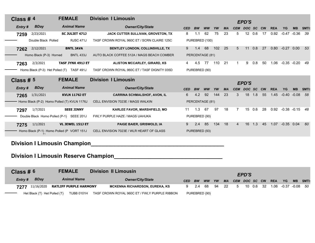| Class # $4$                                 | <b>FEMALE</b>                            | <b>Division I Limousin</b>                   |            |               |                 |     |           |                | <b>EPD'S</b> |           |           |            |                |           |       |
|---------------------------------------------|------------------------------------------|----------------------------------------------|------------|---------------|-----------------|-----|-----------|----------------|--------------|-----------|-----------|------------|----------------|-----------|-------|
| <b>BDay</b><br>Entry#                       | <b>Animal Name</b>                       | <b>Owner/City/State</b>                      | <b>CED</b> | <b>BW</b>     | <b>WW</b>       | YW  | <b>MA</b> | <b>CEM</b>     | <b>DOC</b>   | <b>SC</b> | <b>CW</b> | <b>REA</b> | YG             | <b>MB</b> | \$MTI |
| 2/23/2021<br>7259                           | <b>SC JULIET 471J</b>                    | <b>JACK CUTTER SULLIVAN, GROVETON, TX</b>    | 8          | 1.1           | 62              | 75  | 23        | 5              | 12           | 0.6       | 17        | 0.92       | -0.47          | $-0.36$   | -39   |
| Double Black Polled                         | <b>RJSC 471J</b>                         | TASF CROWN ROYAL 960C ET / SCRN CLAIRE 125C  |            |               | PUREBRED (100)  |     |           |                |              |           |           |            |                |           |       |
| 2/12/2021<br>7262                           | <b>BNTL JAVA</b>                         | <b>BENTLEY LONDON, COLLINSVILLE, TX</b>      | 9          | 1.4           | 68              | 102 | 25        | 5              | 11           | 0.8       | 27        | 0.80       | $-0.27$        | 0.00      | 53    |
| Homo Black (P-3) Horned                     | <b>BNTL 433J</b>                         | AUTO BLACK COFFEE 512A / MAGS BEACH COMBER   |            |               | PERCENTAGE (81) |     |           |                |              |           |           |            |                |           |       |
| 2/3/2021<br>7263                            | TASF JYNX 491J ET                        | <b>ALISTON MCCARLEY, GIRARD, KS</b>          | 4          | 4.5           | 77              | 110 | 21        |                | 9            | 0.8       | 50        | 1.06       | $-0.35 -0.20$  |           | 49    |
| Homo Black (P-3) Het Polled (T)             | TASF 491J                                | TASF CROWN ROYAL 960C ET / TASF DIGNITY 035D |            | PUREBRED (90) |                 |     |           |                |              |           |           |            |                |           |       |
|                                             |                                          |                                              |            |               |                 |     |           |                |              |           |           |            |                |           |       |
|                                             | <b>FEMALE</b>                            | <b>Division   Limousin</b>                   |            |               |                 |     |           |                |              |           |           |            |                |           |       |
| Class # $5$                                 |                                          |                                              |            |               |                 |     |           |                | <b>EPD'S</b> |           |           |            |                |           |       |
| <b>BDay</b><br><b>Entry#</b>                | <b>Animal Name</b>                       | <b>Owner/City/State</b>                      | <b>CED</b> | <b>BW</b>     | <b>WW</b>       | YW  | <b>MA</b> | <b>CEM</b>     | <b>DOC</b>   | <b>SC</b> | <b>CW</b> | <b>REA</b> | YG             | <b>MB</b> | \$MTI |
| 1/31/2021<br>7265                           | <b>KVLN 1176J ET</b>                     | <b>CARRINA SCHMALSHOF, AVON, IL</b>          | 6          | 4.2           | 92              | 144 | 23        | 3              | 18           | 1.8       | 55        | 1.45       | $-0.40 -0.08$  |           | 58    |
| Homo Black (P-2) Homo Polled (T) KVLN 1176J |                                          | CELL ENVISION 7023E / MAGS WALKIN            |            |               | PERCENTAGE (81) |     |           |                |              |           |           |            |                |           |       |
| 1/7/2021<br>7297                            | <b>SEEE JINNY</b>                        | KARLEE FAVOR, MARSHFIELD, MO                 | 11         | 1.3           | 67              | 97  | 18        |                | 15           | 0.6       | 28        | 0.92       | $-0.38 - 0.15$ |           | -48   |
|                                             | Double Black Homo Polled (P-1) SEEE 201J | FWLY PURPLE HAZE / MAGS UAHUKA               |            | PUREBRED (90) |                 |     |           |                |              |           |           |            |                |           |       |
| 1/1/2021<br>7275                            | <b>VL JEWEL 151J ET</b>                  | PAIGE BAIER, GRISWOLD, IA                    | 9          | 2.4           | 85              | 134 | 18        | $\overline{4}$ | 16           | 1.3       | 45        | 1.07       | $-0.35$ 0.04   |           | 60    |

# **Division I Limousin Champion\_\_\_\_\_\_\_\_\_\_\_\_\_\_\_\_\_\_\_\_\_\_\_\_\_\_\_\_\_\_\_\_\_\_\_\_\_\_\_\_\_\_\_**

## **Division I Limousin Reserve Champion\_\_\_\_\_\_\_\_\_\_\_\_\_\_\_\_\_\_\_\_\_\_\_\_\_\_\_\_\_\_\_\_\_\_\_**

| Class # $6$                  | <b>FEMALE</b>                          | <b>Division II Limousin</b>                              |            |           |                |    |                      | <b>EPD'S</b> |  |                                 |          |  |
|------------------------------|----------------------------------------|----------------------------------------------------------|------------|-----------|----------------|----|----------------------|--------------|--|---------------------------------|----------|--|
| <b>BDay</b><br>Entry#        | <b>Animal Name</b>                     | <b>Owner/City/State</b>                                  | <b>CED</b> | <b>BW</b> | <b>WW</b>      | YW | MA CEM DOC SC CW REA |              |  | YG.                             | MB SMTI: |  |
|                              | 7277 11/16/2020 RATLIFF PURPLE HARMONY | <b>MCKENNA RICHARDSON, EUREKA, KS</b>                    |            |           | 9 2.4 68 94 22 |    |                      |              |  | 5 10 0.6 32 1.06 -0.37 -0.08 50 |          |  |
| Het Black (T) Het Polled (T) |                                        | TUBB 0101H TASF CROWN ROYAL 960C ET / FWLY PURPLE RIBBON |            |           | PUREBRED (90)  |    |                      |              |  |                                 |          |  |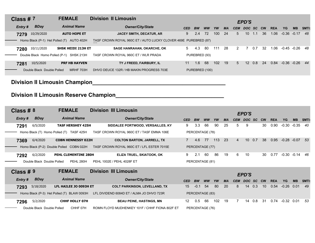| Class # $7$                               | <b>FEMALE</b>             | <b>Division II Limousin</b>                                     |            |                |           |                  |           |                | <b>EPD'S</b>    |     |           |            |                  |           |              |
|-------------------------------------------|---------------------------|-----------------------------------------------------------------|------------|----------------|-----------|------------------|-----------|----------------|-----------------|-----|-----------|------------|------------------|-----------|--------------|
| <b>BDay</b><br>Entry #                    | <b>Animal Name</b>        | <b>Owner/City/State</b>                                         | <b>CED</b> | BW             | <b>WW</b> | YW               | <b>MA</b> | <b>CEM</b>     | DOC SC          |     | <b>CW</b> | <b>REA</b> | YG.              | <b>MB</b> | <b>SMTI:</b> |
| 10/29/2020<br>7279                        | <b>AUTO HOPE ET</b>       | <b>JACEY SMITH, DECATUR, AR</b>                                 | 9          | 2.4            | 72        | 100 <sub>1</sub> | - 24      | 5 <sup>5</sup> | 10 <sup>°</sup> | 1.1 | 36        | 1.06       | $-0.36 - 0.17$   |           | -48          |
| Homo Black (P-1) Het Polled (T) AUTO 402H |                           | TASF CROWN ROYAL 960C ET / AUTO LUCKY CLOVER 469E PUREBRED (87) |            |                |           |                  |           |                |                 |     |           |            |                  |           |              |
| 10/11/2020<br>7280                        | <b>SHSK HEIDI 213H ET</b> | <b>SAGE HANRAHAN, OKARCHE, OK</b>                               | 5          | 4.3            | -80       | 111              | 28        | 2              | $\overline{7}$  | 0.7 | 32        | 1.06       | $-0.45 -0.26$ 48 |           |              |
| Double Black Homo Polled (P-1)            | SHSK 213H                 | TASF CROWN ROYAL 960C ET / WLR PRADA                            |            | PUREBRED (93)  |           |                  |           |                |                 |     |           |            |                  |           |              |
| 10/5/2020<br>7281                         | <b>PRF HB HAYVEN</b>      | TY J FREED, FAIRBURY, IL                                        | 11         | 1.6            | 68        | 102 <sub>2</sub> | 19        | 5              | 12 <sup>2</sup> | 0.8 | 24        | 0.84       | $-0.36 - 0.26$   |           | 44           |
| Double Black Double Polled                | MRHF 703H                 | DHVO DEUCE 132R / HB MAKIN PROGRESS 703E                        |            | PUREBRED (100) |           |                  |           |                |                 |     |           |            |                  |           |              |

## **Division II Limousin Champion\_\_\_\_\_\_\_\_\_\_\_\_\_\_\_\_\_\_\_\_\_\_\_\_\_\_\_\_\_\_\_\_\_\_\_\_\_\_\_\_\_\_\_**

# **Division II Limousin Reserve Champion\_\_\_\_\_\_\_\_\_\_\_\_\_\_\_\_\_\_\_\_\_\_\_\_\_\_\_\_\_\_\_\_\_\_\_**

| Class # $8$                  | <b>FEMALE</b>                              | <b>Division III Limousin</b>               |                   |           |                 |     |           |                | <b>EPD'S</b>               |           |           |            |                |           |        |
|------------------------------|--------------------------------------------|--------------------------------------------|-------------------|-----------|-----------------|-----|-----------|----------------|----------------------------|-----------|-----------|------------|----------------|-----------|--------|
| <b>BDay</b><br><b>Entry#</b> | <b>Animal Name</b>                         | <b>Owner/City/State</b>                    | <b>CED</b>        | <b>BW</b> | <b>WW</b>       | YW  | МA        | <b>CEM</b>     | <b>DOC</b>                 | <b>SC</b> | <b>CW</b> | <b>REA</b> | <b>YG</b>      | <b>MB</b> | \$MTI: |
| 6/5/2020<br>7291             | <b>TASF HERSHEY 425H</b>                   | SIDDALEE PORTWOOD, VERSAILLES, KY          | 9                 | 3.3       | 66              | 90  | 25        | 5              | 9                          |           | 30        | 0.90       | $-0.30 -0.35$  |           | -40    |
|                              | Homo Black (T) Homo Polled (T) TASF 425H   | TASF CROWN ROYAL 960C ET / TASF EMMA 106E  |                   |           | PERCENTAGE (78) |     |           |                |                            |           |           |            |                |           |        |
| 6/4/2020<br>7369             | <b>COBN HENNESSY 022H</b>                  | <b>COLTON BARTON, JARRELL, TX</b>          |                   | 4.6       | 77              | 113 | 23        | $\overline{4}$ | 10 <sup>°</sup>            | 0.7       | 38        | 0.95       | $-0.28 - 0.07$ |           | -53    |
|                              | Homo Black (P-2) Double Polled COBN 022H   | TASF CROWN ROYAL 960C ET / LFL ESTER 7015E |                   |           | PERCENTAGE (77) |     |           |                |                            |           |           |            |                |           |        |
| 6/2/2020<br>7292             | PEHL CLEMENTINE 280H                       | ELIZA TRUEL, SKIATOOK, OK                  | 9                 | 2.1       | 60              | 86  | 19        | 6              | 10                         |           | 30        | 0.77       | $-0.30 -0.14$  |           | -46    |
|                              |                                            |                                            |                   |           |                 |     |           |                |                            |           |           |            |                |           |        |
| Double Black Double Polled   | PEHL 280H                                  | PEHL 1002E / PEHL 4028F ET                 |                   |           | PERCENTAGE (81) |     |           |                |                            |           |           |            |                |           |        |
| Class # $9$                  | <b>FEMALE</b>                              | <b>Division III Limousin</b>               |                   |           |                 |     |           |                |                            |           |           |            |                |           |        |
| <b>BDay</b><br><b>Entry#</b> | <b>Animal Name</b>                         | <b>Owner/City/State</b>                    | <b>CED</b>        | <b>BW</b> | <b>WW</b>       | YW  | <b>MA</b> | <b>CEM</b>     | <b>EPD'S</b><br><b>DOC</b> | <b>SC</b> | <b>CW</b> | <b>REA</b> | <b>YG</b>      | <b>MB</b> | \$MTI: |
| 5/18/2020<br>7293            | LFL HAILEE JO 0093H ET                     | <b>COLT PARKINSON, LEVELLAND, TX</b>       | 15                | $-0.1$    | 54              | 80  | 20        | 8              | 14                         | 0.3       | 10        | 0.54       | $-0.26$ 0.01   |           | 49     |
|                              | Homo Black (P-3) Het Polled (T) BLAW 0093H | LFL DIVIDEND 6084D ET / ALMA JO DHVO 723R  |                   |           | PERCENTAGE (83) |     |           |                |                            |           |           |            |                |           |        |
| 5/2/2020<br>7296             | <b>CHHF HOLLY 07H</b>                      | <b>BEAU PEINE, HASTINGS, MN</b>            | $12 \overline{ }$ | 0.5       | 66              | 102 | 19        | $\overline{7}$ | 14                         | 0.8       | 31        | 0.74       | $-0.32$ 0.01   |           | 53     |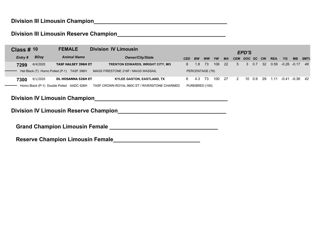**Division III Limousin Reserve Champion\_\_\_\_\_\_\_\_\_\_\_\_\_\_\_\_\_\_\_\_\_\_\_\_\_\_\_\_\_\_\_\_\_\_\_**

| Class $\#$ 10 |             | <b>FEMALE</b>                             | <b>Division IV Limousin</b>                   |            |           |                 |     |           |                | <b>EPD'S</b>   |        |    |            |                         |           |       |
|---------------|-------------|-------------------------------------------|-----------------------------------------------|------------|-----------|-----------------|-----|-----------|----------------|----------------|--------|----|------------|-------------------------|-----------|-------|
| Entry#        | <b>BDay</b> | <b>Animal Name</b>                        | <b>Owner/City/State</b>                       | <b>CED</b> | <b>BW</b> | <b>WW</b>       | YW  | <b>MA</b> | <b>CEM</b>     | DOC SC CW      |        |    | <b>REA</b> | <b>YG</b>               | <b>MB</b> | SMTI: |
| 7299          | 4/4/2020    | <b>TASF HALSEY 396H ET</b>                | <b>TRENTON EDWARDS, WRIGHT CITY, MO</b>       | 8          |           | 1.8 73          | 106 | 22        | 5 <sup>5</sup> | 3 <sup>1</sup> | 0.7    | 32 |            | $0.59 - 0.26 - 0.17$    |           | - 48  |
|               |             | Het Black (T) Homo Polled (P-1) TASF 396H | MAGS FIRESTONE 218F / MAGS WASSAIL            |            |           | PERCENTAGE (78) |     |           |                |                |        |    |            |                         |           |       |
| 7300          | 4/1/2020    | <b>DL HOSANNA 526H ET</b>                 | <b>KYLEE GASTON, EASTLAND, TX</b>             | 6.         |           | 4.3 73          | 100 | 27        | 2              |                | 10 0.9 | 29 |            | $1.11 - 0.41 - 0.36$ 42 |           |       |
|               |             | Homo Black (P-1) Double Polled AADC 526H  | TASF CROWN ROYAL 960C ET / RIVERSTONE CHARMED |            |           | PUREBRED (100)  |     |           |                |                |        |    |            |                         |           |       |

#### **Division IV Limousin Champion\_\_\_\_\_\_\_\_\_\_\_\_\_\_\_\_\_\_\_\_\_\_\_\_\_\_\_\_\_\_\_\_\_\_\_\_\_\_\_\_\_\_\_**

**Division IV Limousin Reserve Champion\_\_\_\_\_\_\_\_\_\_\_\_\_\_\_\_\_\_\_\_\_\_\_\_\_\_\_\_\_\_\_\_\_\_\_**

**Grand Champion Limousin Female \_\_\_\_\_\_\_\_\_\_\_\_\_\_\_\_\_\_\_\_\_\_\_\_\_\_\_\_\_\_\_\_\_\_\_**

**Reserve Champion Limousin Female\_\_\_\_\_\_\_\_\_\_\_\_\_\_\_\_\_\_\_\_\_\_\_\_\_\_\_\_**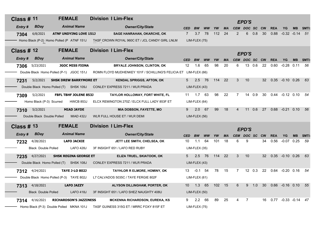| <b>Class # 11</b>            | <b>FEMALE</b>                             | <b>Division I Lim-Flex</b>                                       |                 |                |           |        |           |                | <b>EPD'S</b>     |           |           |            |                         |           |              |
|------------------------------|-------------------------------------------|------------------------------------------------------------------|-----------------|----------------|-----------|--------|-----------|----------------|------------------|-----------|-----------|------------|-------------------------|-----------|--------------|
| <b>BDay</b><br>Entry #       | <b>Animal Name</b>                        | <b>Owner/City/State</b>                                          | <b>CED</b>      | <b>BW</b>      | <b>WW</b> | YW     | <b>MA</b> |                | CEM DOC SC       |           | <b>CW</b> | <b>REA</b> | YG                      | <b>MB</b> | <b>SMTI:</b> |
| 6/8/2021<br>7304             | <b>ATNF UNDYING LOVE 151J</b>             | <b>SAGE HANRAHAN, OKARCHE, OK</b>                                | $\overline{7}$  | 3.7            | 78        | 112    | 24        | 2              | 6                | 0.8       | 30        | 0.88       | $-0.32 -0.14$           |           | 51           |
|                              | Homo Black (P-2) Homo Polled (P ATNF 151J | TASF CROWN ROYAL 960C ET / JCL CANDY GIRL LNLM                   |                 | $LIM-FLEX(75)$ |           |        |           |                |                  |           |           |            |                         |           |              |
| <b>Class # 12</b>            | <b>FEMALE</b>                             | <b>Division I Lim-Flex</b>                                       |                 |                |           |        |           |                | <b>EPD'S</b>     |           |           |            |                         |           |              |
| <b>BDay</b><br><b>Entry#</b> | <b>Animal Name</b>                        | <b>Owner/City/State</b>                                          | <b>CED</b>      | <b>BW</b>      | <b>WW</b> | YW     | МA        |                | CEM DOC SC       |           | <b>CW</b> | <b>REA</b> | YG                      | <b>MB</b> | <b>SMTI:</b> |
| 5/23/2021<br>7306            | <b>JGOC MISS FIONA</b>                    | <b>BRYALE JOHNSON, CLINTON, OK</b>                               | 12              | 1.6            | 65        | 98     | 20        | 6              | 13               | 0.6       | 22        | 0.60       | $-0.28$                 | 0.11      | 56           |
|                              | Double Black Homo Polled (P-1) JGOC 151J  | ROMN FLOYD MUDHENKEY 101F / SCHILLING'S FELICIA ET LIM-FLEX (66) |                 |                |           |        |           |                |                  |           |           |            |                         |           |              |
| 5/2/2021<br>7231             | <b>SHSK DREW BARRYMORE ET</b>             | <b>KENDAL SPRIGGS, AFTON, OK</b>                                 | 5               | 2.5            | - 76      | 114    | 22        | 3              | 10               |           | 32        |            | $0.35 -0.10$ 0.26       |           | 63           |
|                              | Double Black Homo Polled (T) SHSK 109J    | CONLEY EXPRESS 7211 / WLR PRADA                                  |                 | LIM-FLEX (43)  |           |        |           |                |                  |           |           |            |                         |           |              |
| 5/2/2021<br>7309             | <b>FBFL TBHF JOLENE 853J</b>              | TAYLOR HOLLOWAY, FORT WHITE, FL                                  |                 | 11  1.7  63    |           | 98     | 22        |                | 14               | 0.9       | 30        |            | $0.44 -0.12$ 0.10       |           | -54          |
| Homo Black (P-3) Scurred     | HWCB 853J                                 | ELCX REMINGTON 270Z / ELCX FULL LADY 853F ET                     |                 | LIM-FLEX (64)  |           |        |           |                |                  |           |           |            |                         |           |              |
| 5/2/2021<br>7310             | <b>MIAD JAYDE</b>                         | <b>MIA DOBSON, FAYETTE, MO</b>                                   | 9               | $2.0\quad 67$  |           | 99     | 18        | $\overline{4}$ |                  | 11 0.6    | 27        |            | $0.68 - 0.21 0.10$      |           | 56           |
| Double Black Double Polled   | <b>MIAD 432J</b>                          | WLR FULL HOUSE ET / WLR DEMI                                     |                 | LIM-FLEX (56)  |           |        |           |                |                  |           |           |            |                         |           |              |
| <b>Class # 13</b>            | <b>FEMALE</b>                             | <b>Division I Lim-Flex</b>                                       |                 |                |           |        |           |                |                  |           |           |            |                         |           |              |
|                              |                                           |                                                                  |                 |                |           |        |           |                | <b>EPD'S</b>     |           |           |            |                         |           |              |
| <b>BDay</b><br>Entry#        | <b>Animal Name</b>                        | <b>Owner/City/State</b>                                          | <b>CED</b>      | <b>BW</b>      | WW        | YW     | МA        |                | CEM DOC SC       |           | <b>CW</b> | <b>REA</b> | YG                      | <b>MB</b> | \$MTI:       |
| 4/28/2021<br>7232            | <b>LAFO JACKIE</b>                        | JETT LEE SMITH, CHELSEA, OK                                      | 10              | 1.1            | 64        | 101    | 18        | 6              | 9                |           | 34        | 0.56       | $-0.07$ 0.25            |           | 59           |
| <b>Black Double Polled</b>   | <b>LAFO 428J</b>                          | 3F INSIGHT 651 / LAFO RED RUBY                                   |                 | LIM-FLEX (35)  |           |        |           |                |                  |           |           |            |                         |           |              |
| 4/27/2021<br>7235            | <b>SHSK REGINA GEORGE ET</b>              | ELIZA TRUEL, SKIATOOK, OK                                        | 5               | 2.5 76         |           | 114    | 22        | 3              | 10               |           | 32        |            | $0.35 -0.10$ 0.26       |           | 63           |
|                              | Double Black Homo Polled (T) SHSK 108J    | CONLEY EXPRESS 7211 / WLR PRADA                                  |                 | LIM-FLEX (43)  |           |        |           |                |                  |           |           |            |                         |           |              |
| 4/24/2021<br>7312            | <b>TAYE J-LO 802J</b>                     | <b>TAYHLOR R ELMORE, HOMINY, OK</b>                              |                 | 13 -0.1 54     |           | 78     | 15        | 7              | 12 <sup>12</sup> | 0.3       | 22        |            | $0.64 -0.20 0.16$       |           | -54          |
|                              | Double Black Homo Polled (P-3) TAYE 802J  | L7 CALVADOS 5035C / TAYE FERGIE 802F                             |                 | $LIM-FLEX(61)$ |           |        |           |                |                  |           |           |            |                         |           |              |
| 4/18/2021<br>7313            | <b>LAFO JAZZY</b>                         | ALYSON DILLINGHAM, PORTER, OK                                    | 10 <sup>°</sup> | 1.3 65         |           | 102 15 |           | 6              |                  | $9 \t1.0$ | 30        |            | $0.66 - 0.16 0.10$      |           | 55           |
| <b>Black Double Polled</b>   | LAFO 418J                                 | 3F INSIGHT 651 / LAFO SHEZ NAUGHTY 408U                          |                 | $LIM-FLEX(50)$ |           |        |           |                |                  |           |           |            |                         |           |              |
| 4/16/2021<br>7314            | <b>RICHARDSON'S JAZZINESS</b>             | <b>MCKENNA RICHARDSON, EUREKA, KS</b>                            | 9               | 2.2            | 66        | 89     | 25        | 4              | 7                |           | 16        |            | $0.77 - 0.33 - 0.14$ 47 |           |              |
|                              | Homo Black (P-3) Double Polled MKNA 101J  | TASF GUINESS 315G ET / MRRC FOXY 815F ET                         |                 | LIM-FLEX (75)  |           |        |           |                |                  |           |           |            |                         |           |              |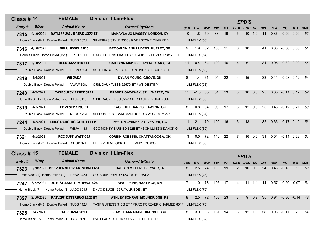| <b>Class # 14</b> |                            | <b>FEMALE</b>                              | <b>Division I Lim-Flex</b>                                     |            |                |           |                  |           |                | <b>EPD'S</b>    |        |                 |            |                                     |           |        |
|-------------------|----------------------------|--------------------------------------------|----------------------------------------------------------------|------------|----------------|-----------|------------------|-----------|----------------|-----------------|--------|-----------------|------------|-------------------------------------|-----------|--------|
| <b>Entry#</b>     | <b>BDay</b>                | <b>Animal Name</b>                         | <b>Owner/City/State</b>                                        | <b>CED</b> | <b>BW</b>      | <b>WW</b> | YW               | МA        | <b>CEM</b>     | DOC SC          |        | <b>CW</b>       | <b>REA</b> | YG                                  | <b>MB</b> | \$MTI  |
| 7315              | 4/10/2021                  | <b>RATLIFF JAIL BREAK 137J ET</b>          | <b>MAKAYLA JO MASSEY, LONDON, KY</b>                           | 10         | 1.8            | 59        | 88               | 19        | 5              | 10              | 1.0    | 14              |            | $0.36 -0.09 0.09$                   |           | -52    |
|                   |                            | Homo Black (P-1) Double Polled TUBB 137J   | SILVEIRAS STYLE 9303 / RIVERSTONE CHARMED                      |            | LIM-FLEX (50)  |           |                  |           |                |                 |        |                 |            |                                     |           |        |
| 7316              | 4/10/2021                  | <b>BRLU JEWEL 101J</b>                     | BROOKLYN ANN LUDENS, HURLEY, SD                                |            | 9 1.9 62       |           | 100 21           |           | 6              | 10              |        | 41              |            | $0.88 - 0.30 0.00$                  |           | - 51   |
|                   |                            | Double Black Homo Polled (P-1) BRLU 101J   | CWCL LUDENS FIRST DAKOTA 018F / FC ZESTY 817F ET               |            | LIM-FLEX (54)  |           |                  |           |                |                 |        |                 |            |                                     |           |        |
| 7317              | 4/10/2021                  | <b>DLCN JAZZ 410J ET</b>                   | <b>CAITLYNN MCKINZIE AYERS, GARY, TX</b>                       | 11         | 0.4            | 64        | 100              | 16        | 4              | 6               |        | 31              |            | $0.95 -0.32 0.09$                   |           | -55    |
|                   | Double Black Double Polled | <b>DLCN 410J</b>                           | SCHILLING'S R&L CONFIDENTIAL / CELL 5065C ET                   |            | $LIM-FLEX(50)$ |           |                  |           |                |                 |        |                 |            |                                     |           |        |
| 7318              | 4/4/2021                   | <b>WB JADA</b>                             | DYLAN YOUNG, GROVE, OK                                         | 8          | 1.4 61         |           | 94               | 22        | 4              | 15              |        | 33              |            | 0.41 -0.08 0.12 54                  |           |        |
|                   | Double Black Double Polled | AAWW 808J                                  | CJSL DAUNTLESS 6257D ET / WB DESTINY                           |            | LIM-FLEX (53)  |           |                  |           |                |                 |        |                 |            |                                     |           |        |
| 7243              | 4/3/2021                   | <b>TASF JUICY FRUIT 511J</b>               | <b>BRANDT GAZAWAY, STILLWATER, OK</b>                          |            | 15 -1.5 55     |           | 81               | 23        | 8              |                 | 16 0.8 | 25              |            | 0.35 -0.11 0.12 52                  |           |        |
|                   |                            | Homo Black (T) Homo Polled (P-3) TASF 511J | CJSL DAUNTLESS 6257D ET / TASF FLYGIRL 236F                    |            | $LIM-FLEX(68)$ |           |                  |           |                |                 |        |                 |            |                                     |           |        |
| 7319              | 4/3/2021                   | FC ZESTY 128J ET                           | KAGE HILL HARRIS, LAWTON, OK                                   | 8          | $0.8$ 64       |           | 95               | 17        | 6              |                 | 12 0.8 | 25              |            | $0.48 - 0.12$ 0.21                  |           | -58    |
|                   | Double Black Double Polled | MFOS 128J                                  | SELDOM REST SANDMAN 6075 / CYWD ZESTY 22Z                      |            | LIM-FLEX (34)  |           |                  |           |                |                 |        |                 |            |                                     |           |        |
| 7244              |                            | 4/2/2021 LMCC DANCING GIRL 111J ET         | PEYTON GWINES, SYLVESTER, GA                                   | 11         | $2.1$ 70       |           | 100 <sub>1</sub> | 16        | 5              | 13              |        | 32 <sup>2</sup> |            | $0.65 -0.17 0.10$                   |           | - 56   |
|                   | Double Black Double Polled | <b>WBJH 111J</b>                           | GCC MONEY EARNED 852E ET / SCHILLING'S DANCING                 |            | LIM-FLEX (39)  |           |                  |           |                |                 |        |                 |            |                                     |           |        |
| 7321              | 4/1/2021                   | <b>RCC JUST WAIT 02J</b>                   | <b>CORBIN ROBBINS, CHATTANOOGA, OK</b>                         | 13         | $0.5$ 72       |           | 116 22           |           | 7              |                 | 16 0.6 | -31             |            | $0.51 - 0.11 0.23$                  |           | - 61   |
|                   |                            | Homo Black (P-3) Double Polled CROB 02J    | LFL DIVIDEND 6084D ET / EMMY LOU 033F                          |            | LIM-FLEX (60)  |           |                  |           |                |                 |        |                 |            |                                     |           |        |
|                   |                            |                                            |                                                                |            |                |           |                  |           |                |                 |        |                 |            |                                     |           |        |
| <b>Class # 15</b> |                            | <b>FEMALE</b>                              | <b>Division I Lim-Flex</b>                                     |            |                |           |                  |           |                | <b>EPD'S</b>    |        |                 |            |                                     |           |        |
| Entry #           | <b>BDay</b>                | <b>Animal Name</b>                         | <b>Owner/City/State</b>                                        | <b>CED</b> | <b>BW</b>      | <b>WW</b> | YW               | <b>MA</b> | <b>CEM</b>     | DOC SC          |        | <b>CW</b>       | <b>REA</b> | YG                                  | <b>MB</b> | \$MTI: |
| 7323              |                            | 3/28/2021 DEBV JENNIFER ANISTON 145J       | DALTON MILLER, TREYNOR, IA                                     | 8          | 2.5            | -74       | 108              | 19        | $\overline{2}$ | 10 <sup>°</sup> | 0.6    | 24              | 0.46       | $-0.13$ 0.15                        |           | 59     |
|                   |                            | Het Black (T) Homo Polled (T) DEBV 145J    | COLBURN PRIMO 5153 / WLR PRADA                                 |            | $LIM-FLEX(43)$ |           |                  |           |                |                 |        |                 |            |                                     |           |        |
| 7247              |                            | 3/22/2021 DL JUST ABOUT PERFECT 624        | <b>BEAU PEINE, HASTINGS, MN</b>                                |            | 7 1.0 73       |           | 106 17           |           | 4              |                 |        |                 |            | 11  1.1  14  0.57  -0.20  -0.07  51 |           |        |
|                   |                            | Homo Black (P-1) Homo Polled (T) AADC 624J | DHVO DEUCE 132R / WLR EDEN ET                                  |            | LIM-FLEX (75)  |           |                  |           |                |                 |        |                 |            |                                     |           |        |
| 7327              | 3/10/2021                  | <b>RATLIFF JITTERBUG 112J ET</b>           | <b>ASHLEY SCHRAG, MOUNDRIDGE, KS</b>                           | 8          | $2.5$ 72       |           | 108 23           |           | 3              | 9               | 0.9    | 35              |            | $0.94 -0.30 -0.14$ 49               |           |        |
|                   |                            | Homo Black (P-3) Double Polled TUBB 112J   | TASF GUINESS 315G ET / MRRC FOREVER CHARMED 801F LIM-FLEX (75) |            |                |           |                  |           |                |                 |        |                 |            |                                     |           |        |
| 7328              | 3/6/2021                   | TASF JAVA 509J                             | SAGE HANRAHAN, OKARCHE, OK                                     | 8          | $3.0\quad 83$  |           | 131 14           |           | 3              |                 | 12 1.3 | 58              |            | $0.96 -0.11 0.20$                   |           | 64     |
|                   |                            | Homo Black (P-3) Homo Polled (T) TASF 509J | PVF BLACKLIST 7077 / GVAF DOUBLE SHOT                          |            | LIM-FLEX (32)  |           |                  |           |                |                 |        |                 |            |                                     |           |        |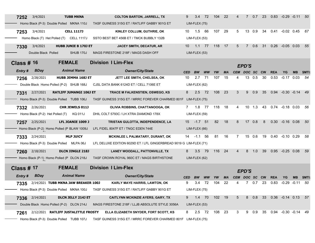| 7252              | 3/4/2021            |                                            | <b>TUBB MKNA</b>               |                            | <b>COLTON BARTON, JARRELL, TX</b>                                  | 9               | 3.4              | 72  | 104              | 22        |                |              | 0.7                 | 23 | 0.83               | $-0.29$ $-0.11$ 50    |                      |               |
|-------------------|---------------------|--------------------------------------------|--------------------------------|----------------------------|--------------------------------------------------------------------|-----------------|------------------|-----|------------------|-----------|----------------|--------------|---------------------|----|--------------------|-----------------------|----------------------|---------------|
|                   |                     | Homo Black (P-3) Double Polled MKNA 110J   |                                |                            | TASF GUINESS 315G ET / RATLIFF GABBY 901G ET                       |                 | LIM-FLEX (75)    |     |                  |           |                |              |                     |    |                    |                       |                      |               |
| 7253              | 3/4/2021            |                                            | <b>CELL 1117J</b>              |                            | KINLEY COLLUM, GUTHRIE, OK                                         | 10              | 1.5 66           |     | 107 29           |           | 5              |              | 13 0.9              | 34 |                    | $0.41 - 0.02 0.45$    |                      | - 67          |
|                   |                     | Homo Black (T) Het Polled (T) CELL 1117J   |                                |                            | SSTO BEST BET 456B ET / TMCK BUBBLY 132B                           |                 | LIM-FLEX (53)    |     |                  |           |                |              |                     |    |                    |                       |                      |               |
| 7330              | 3/4/2021            |                                            | <b>HUBB JUNIE B 170J ET</b>    |                            | <b>JACEY SMITH, DECATUR, AR</b>                                    | 10              | $1.1$ 77         |     | 118              | 17        | 5              | $7^{\circ}$  | 0.6                 | 31 |                    | $0.26 -0.05 0.03$     |                      | 55            |
|                   | Double Black Polled |                                            | <b>SHUB 170J</b>               |                            | MAGS FIRESTONE 218F / MAGS DASH OFF                                |                 | LIM-FLEX (53)    |     |                  |           |                |              |                     |    |                    |                       |                      |               |
| <b>Class # 16</b> |                     | <b>FEMALE</b>                              |                                | <b>Division I Lim-Flex</b> |                                                                    |                 |                  |     |                  |           |                | <b>EPD'S</b> |                     |    |                    |                       |                      |               |
| <b>Entry#</b>     | <b>BDay</b>         |                                            | <b>Animal Name</b>             |                            | <b>Owner/City/State</b>                                            | <b>CED</b>      | <b>BW</b>        | ww  | YW               | <b>MA</b> | <b>CEM</b>     | DOC SC CW    |                     |    | <b>REA</b>         | YG                    | <b>MB</b>            | \$MTI:        |
| 7256              | 2/28/2021           |                                            | <b>HUBB JEMMA 168J ET</b>      |                            | JETT LEE SMITH, CHELSEA, OK                                        | 10              | 2.7              | -71 | 107              | 15        |                | 13           | 0.5                 | 30 | 0.53               | $-0.17$ 0.03          |                      | 54            |
|                   |                     | Double Black Homo Polled (P-2) SHUB 168J   |                                |                            | CJSL DATA BANK 6124D ET / CELL 7106E ET                            |                 | LIM-FLEX (62)    |     |                  |           |                |              |                     |    |                    |                       |                      |               |
| 7331              | 2/27/2021           |                                            | <b>RATLIFF JUMANGI 106J ET</b> |                            | <b>TRACE M FALKENSTIEN, OSWEGO, KS</b>                             | 8               | 2.5              | 72  | 108              | 23        | 3              | 9            | 0.9                 | 35 |                    | 0.94 -0.30 -0.14 49   |                      |               |
|                   |                     | Homo Black (P-3) Double Polled TUBB 106J   |                                |                            | TASF GUINESS 315G ET / MRRC FOREVER CHARMED 801F LIM-FLEX (75)     |                 |                  |     |                  |           |                |              |                     |    |                    |                       |                      |               |
| 7332              | 2/26/2021           |                                            | <b>CHR JEWELS 011J</b>         |                            | OLIVIA ROBBINS, CHATTANOOGA, OK                                    |                 | 7 1.8 77         |     | 118 18           |           | 4              |              | 10 1.3              | 43 |                    | $0.74 - 0.18$ 0.03    |                      | - 56          |
|                   |                     | Homo Black (P-2) Het Polled (T)            | <b>KQ 011J</b>                 |                            | DHIL COLT 5793C / LH XTRA DIAMOND 178X                             |                 | LIM-FLEX (59)    |     |                  |           |                |              |                     |    |                    |                       |                      |               |
| 7257              | 2/25/2021           |                                            | <b>LFL JOANIE 1009 J</b>       |                            | TRISTAN GULOTTA, INDEPENDENCE, LA                                  |                 | 15 -1.7 51       |     | 82               | 18        | 8              |              | 17 0.8              | 8  |                    | $0.30 -0.16 0.08$     |                      | - 50          |
|                   |                     | Homo Black (P-2) Homo Polled (P BLAW 1009J |                                |                            | LFL FIDEL 8047F ET / TNGC EDEN 744E                                |                 | LIM-FLEX (66)    |     |                  |           |                |              |                     |    |                    |                       |                      |               |
| 7333              | 2/24/2021           |                                            | <b>MLP JUICY</b>               |                            | <b>MCKINLEE L PALMATARY, DURANT, OK</b>                            |                 | 14 -1.1 56       |     | 81               | 16        | $\overline{7}$ |              | 15 0.6              | 19 |                    | $0.40 -0.10 0.29$     |                      | -58           |
|                   |                     | Homo Black (P-3) Double Polled MLPA 06J    |                                |                            | LFL DELUXE EDITION 6029D ET / LFL GINGERBREAD 9019 G LIM-FLEX (71) |                 |                  |     |                  |           |                |              |                     |    |                    |                       |                      |               |
| 7260              | 2/18/2021           |                                            | <b>DLCN JINGLE 218J</b>        |                            | LANEY WOODALL, PATTONVILLE, TX                                     | 8               | 3.5              | 79  | 116              | 24        | 4              | 8            | 1.0                 | 39 |                    | $0.95 -0.25 0.08$     |                      | 59            |
|                   |                     | Homo Black (P-1) Homo Polled (P DLCN 218J  |                                |                            | TASF CROWN ROYAL 960C ET / MAGS BIRTHSTONE                         |                 | LIM-FLEX (62)    |     |                  |           |                |              |                     |    |                    |                       |                      |               |
| Class $# 17$      |                     | <b>FEMALE</b>                              |                                | <b>Division I Lim-Flex</b> |                                                                    |                 |                  |     |                  |           |                |              |                     |    |                    |                       |                      |               |
| <b>Entry#</b>     | <b>BDay</b>         |                                            | <b>Animal Name</b>             |                            | <b>Owner/City/State</b>                                            |                 |                  |     |                  |           |                | <b>EPD'S</b> |                     |    |                    |                       |                      |               |
| 7335              |                     | 2/14/2021 TUBB MKNA JAW BREAKER 100J       |                                |                            | <b>KARLY MAYE HARRIS, LAWTON, OK</b>                               | <b>CED</b><br>9 | <b>BW</b><br>3.4 | 72  | YW<br>104        | МA<br>22  | <b>CEM</b>     | <b>DOC</b>   | <b>SC CW</b><br>0.7 | 23 | <b>REA</b><br>0.83 | YG<br>$-0.29$         | <b>MB</b><br>$-0.11$ | \$MTI:<br>-50 |
|                   |                     | Homo Black (P-3) Double Polled MKNA 100J   |                                |                            | TASF GUINESS 315G ET / RATLIFF GABBY 901G ET                       |                 | LIM-FLEX (75)    |     |                  |           |                |              |                     |    |                    |                       |                      |               |
| 7336              | 2/14/2021           |                                            | <b>DLCN JELLY 214J ET</b>      |                            | <b>CAITLYNN MCKINZIE AYERS, GARY, TX</b>                           | 9               | 1.4              | 70  | 102 <sub>2</sub> | 19        | 5              | 8            | 0.8                 | 33 |                    | $0.36 -0.14$ 0.13 57  |                      |               |
|                   |                     | Double Black Homo Polled (P-2) DLCN 214J   |                                |                            | MAGS FIRESTONE 218F / LLJB ABSOLUTE STYLE 3056A                    |                 | LIM-FLEX (53)    |     |                  |           |                |              |                     |    |                    |                       |                      |               |
| 7261              |                     | 2/12/2021 RATLIFF JUSTALITTLE FROSTY       |                                |                            | ELLA ELIZABETH SNYDER, FORT SCOTT, KS                              | 8               | 2.5              | 72  | 108 23           |           | 3              | 9            | 0.9                 | 35 |                    | $0.94 -0.30 -0.14$ 49 |                      |               |
|                   |                     | Homo Black (P-3) Double Polled TUBB 107J   |                                |                            | TASF GUINESS 315G ET / MRRC FOREVER CHARMED 801F LIM-FLEX (75)     |                 |                  |     |                  |           |                |              |                     |    |                    |                       |                      |               |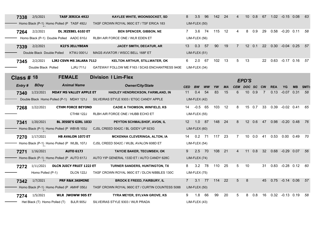| 7338              | 2/5/2021                      |                                           | <b>TASF JERICA 492J</b>                  |                                  | KAYLEE WHITE, WOONSOCKET, SD                    |                  | 3.5            | 96   | 142    | 24  |            | 10 <sup>°</sup> | 0.8         | 67        |            | 1.02 -0.15 0.08    |           | 63     |
|-------------------|-------------------------------|-------------------------------------------|------------------------------------------|----------------------------------|-------------------------------------------------|------------------|----------------|------|--------|-----|------------|-----------------|-------------|-----------|------------|--------------------|-----------|--------|
|                   |                               | Homo Black (P-1) Homo Polled (P TASF 492J |                                          |                                  | TASF CROWN ROYAL 960C ET / TSF ERICA 183        |                  | LIM-FLEX (50)  |      |        |     |            |                 |             |           |            |                    |           |        |
| 7264              | 2/2/2021                      |                                           | DL JEZEBEL 610J ET                       |                                  | <b>BEN SPENCER, GIBBON, NE</b>                  | 7                | 3.6            | - 74 | 115    | 12  |            | 8               | 0.9         | 29        |            | $0.58 - 0.20 0.11$ |           | 58     |
|                   |                               | Homo Black (P-1) Double Polled AADC 610J  |                                          |                                  | RLBH AIR FORCE ONE / WLR EDEN ET                |                  | LIM-FLEX (56)  |      |        |     |            |                 |             |           |            |                    |           |        |
| 7339              | 2/2/2021                      |                                           | <b>K2J'S JELLYBEAN</b>                   |                                  | JACEY SMITH, DECATUR, AR                        | 13               | $0.3$ 57       |      | 90     | 19  | 7          | $12 \t 0.1$     |             | 22        |            | $0.30 -0.04 0.25$  |           | - 57   |
|                   | Double Black Double Polled    |                                           | <b>KTWJ 0001J</b>                        | MAGS AVIATOR / WSCC BELL 168F ET |                                                 |                  | LIM-FLEX (51)  |      |        |     |            |                 |             |           |            |                    |           |        |
| 7345              | 2/2/2021                      |                                           | LJRJ CSVN MS JALARA 711J                 |                                  | <b>KELTON ARTHUR, STILLWATER, OK</b>            | 6                | $2.0$ 67       |      | 102 13 |     | 5          | 13              |             | 22        |            | 0.63 -0.17 0.16 57 |           |        |
|                   | Double Black Polled           |                                           | LJRJ 711J                                |                                  | GATEWAY FOLLOW ME F163 / SCAS ENCHANTRESS 940E  |                  | LIM-FLEX (34)  |      |        |     |            |                 |             |           |            |                    |           |        |
| <b>Class # 18</b> |                               | <b>FEMALE</b>                             |                                          | <b>Division I Lim-Flex</b>       |                                                 |                  |                |      |        |     |            | <b>EPD'S</b>    |             |           |            |                    |           |        |
| Entry#            | <b>BDay</b>                   |                                           | <b>Animal Name</b>                       |                                  | <b>Owner/City/State</b>                         | <b>CED</b>       | <b>BW</b>      |      |        | ΜA  | <b>CEM</b> | DOC SC          |             | <b>CW</b> | <b>REA</b> | YG                 | <b>MB</b> | \$MTI: |
| 7340              | 1/23/2021                     |                                           | <b>MDAY MS VALLEY APPLE ET</b>           |                                  | HADLEY HENDRICKSON, FARMLAND, IN                | 11               | 0.4            | 54   | 83     | 15  | 6          | 10              | 0.9         | 7         | 0.13       | $-0.07$ 0.31       |           | -58    |
|                   |                               |                                           | Double Black Homo Polled (P-1) MDAY 121J |                                  | SILVEIRAS STYLE 9303 / ETGC CANDY APPLE         |                  | LIM-FLEX (42)  |      |        |     |            |                 |             |           |            |                    |           |        |
| 7268              | 1/22/2021                     |                                           | <b>CTHM FORCE BEYOND</b>                 |                                  | <b>CADIE A THOMSON, WINFIELD, KS</b>            | 14               | $-0.5$ 65      |      | 103 12 |     | 8          |                 | 15 0.7      | 33        |            | $0.39 - 0.02 0.41$ |           | 65     |
|                   |                               |                                           | CTHM 122J                                |                                  | RLBH AIR FORCE ONE / HUBB ECHO ET               |                  | LIM-FLEX (55)  |      |        |     |            |                 |             |           |            |                    |           |        |
| 7341              | 1/20/2021                     |                                           | <b>BL JESSE'S GIRL 103J</b>              |                                  | PEYTON SCHMALSHOF, AVON, IL                     | 12 <sup>12</sup> | 1.0 87         |      | 148    | 24  | 8          |                 | 12 0.6      | 47        |            | 0.98 -0.20 0.48    |           | 76     |
|                   |                               | Homo Black (P-1) Homo Polled (P WBVB 103J |                                          |                                  | CJSL CREED 5042C / BL GIDDY UP 923G             |                  | LIM-FLEX (60)  |      |        |     |            |                 |             |           |            |                    |           |        |
| 7270              | 1/17/2021                     |                                           | <b>HB AVALON 107J ET</b>                 |                                  | <b>MCKENNA CLEVERINGA, ALTON, IA</b>            | 14               | $0.2$ 71       |      | 117    | 23  | 7          |                 | $10 \t 0.0$ | 41        | 0.53       | $0.00 \quad 0.49$  |           | - 70   |
|                   |                               | Homo Black (P-1) Homo Polled (P WLBL 107J |                                          |                                  | CJSL CREED 5042C / WLBL AVALON 608D ET          |                  | LIM-FLEX (54)  |      |        |     |            |                 |             |           |            |                    |           |        |
| 7271              | 1/16/2021                     |                                           | <b>AUTO 617J</b>                         |                                  | <b>TAYCIE BAKER, TECUMSEH, OK</b>               | 9                | 2.5            | 70   | 108    | 21  | 4          |                 | 11 0.8      | 32        |            | $0.68 - 0.29 0.07$ |           | - 56   |
|                   |                               | Homo Black (P-1) Homo Polled (P AUTO 617J |                                          |                                  | AUTO YIP GENERAL 133D ET / AUTO CANDY 628C      |                  | $LIM-FLEX(74)$ |      |        |     |            |                 |             |           |            |                    |           |        |
| 7272              | 1/11/2021                     |                                           | <b>DLCN JUICY FRUIT 122J ET</b>          |                                  | <b>TURNER SANDERS, HUNTINGTON, TX</b>           | 8                | 3.2 78         |      | 110    | -25 | 5          | 10              |             | 31        |            | 0.83 -0.28 0.12 60 |           |        |
|                   | Homo Polled (P-1)             |                                           | DLCN 122J                                |                                  | TASF CROWN ROYAL 960C ET / DLCN NIBBLES 130C    |                  | LIM-FLEX (75)  |      |        |     |            |                 |             |           |            |                    |           |        |
| 7342              | 1/7/2021                      |                                           | <b>PRF R&amp;K JASMINE</b>               |                                  | <b>BROCK E FREED, FAIRBURY, IL</b>              | $7^{\circ}$      | $3.1$ 77       |      | 114    | 22  | 5          | 8               |             | 45        |            | $0.75 -0.14 0.06$  |           | 57     |
|                   |                               | Homo Black (P-1) Homo Polled (P AMHF 050J |                                          |                                  | TASF CROWN ROYAL 960C ET / CURTIN COUNTESS 5088 |                  | $LIM-FLEX(50)$ |      |        |     |            |                 |             |           |            |                    |           |        |
| 7274              | 1/5/2021                      |                                           | <b>WLR JWOWW 905 ET</b>                  |                                  | <b>TYRA MEYER, SYLVAN GROVE, KS</b>             |                  | 1.8            | - 66 | 99     | 20  |            | 8               | 0.8         | 16        |            | $0.32 -0.13$ 0.19  |           | -58    |
|                   | Het Black (T) Homo Polled (T) |                                           | <b>BJLR 905J</b>                         | SILVEIRAS STYLE 9303 / WLR PRADA |                                                 |                  | LIM-FLEX (43)  |      |        |     |            |                 |             |           |            |                    |           |        |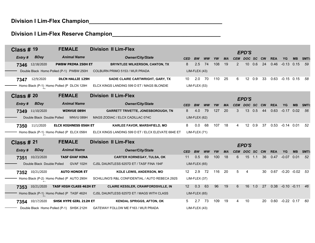# **Division I Lim-Flex Champion\_\_\_\_\_\_\_\_\_\_\_\_\_\_\_\_\_\_\_\_\_\_\_\_\_\_\_\_\_\_\_\_\_\_\_\_\_\_\_\_\_\_\_**

# **Division I Lim-Flex Reserve Champion\_\_\_\_\_\_\_\_\_\_\_\_\_\_\_\_\_\_\_\_\_\_\_\_\_\_\_\_\_\_\_\_\_\_\_**

| Class $# 19$                 | <b>FEMALE</b>                             | <b>Division II Lim-Flex</b>                                             |                  |               |    |     |                 |                 | <b>EPD'S</b>     |           |                 |            |                       |           |             |
|------------------------------|-------------------------------------------|-------------------------------------------------------------------------|------------------|---------------|----|-----|-----------------|-----------------|------------------|-----------|-----------------|------------|-----------------------|-----------|-------------|
| <b>BDay</b><br><b>Entry#</b> | <b>Animal Name</b>                        | <b>Owner/City/State</b>                                                 | <b>CED</b>       | BW            |    | YW  | <b>MA</b>       | <b>CEM</b>      | <b>DOC</b>       | -SC       | <b>CW</b>       | <b>REA</b> | YG                    | <b>MB</b> | <b>SMTI</b> |
| 7346 12/18/2020              | <b>PWBW PRIMA 250H ET</b>                 | <b>BRYNTLEE WILKERSON, CANTON, TX</b>                                   | 8                | 2.5           | 74 | 108 | 19              |                 | 10 <sup>1</sup>  | 0.6       | 24              | 0.46       | $-0.13$ 0.15          |           | 59          |
|                              |                                           | Double Black Homo Polled (P-1) PWBW 250H COLBURN PRIMO 5153 / WLR PRADA |                  | LIM-FLEX (43) |    |     |                 |                 |                  |           |                 |            |                       |           |             |
| 12/9/2020<br>7347            | <b>DLCN HALLIE 129H</b>                   | SADIE CLAIRE CARTWRIGHT, GARY, TX                                       | 10               | $2.0$ 70      |    | 110 | 25              | 6               |                  | 12 0.9    | 33              |            | $0.63 -0.15$ 0.15     |           | 58          |
|                              | Homo Black (P-1) Homo Polled (P DLCN 129H | ELCX KINGS LANDING 599 D ET / MAGS BLONDIE                              |                  | LIM-FLEX (53) |    |     |                 |                 |                  |           |                 |            |                       |           |             |
| Class $#20$                  | <b>FEMALE</b>                             | <b>Division II Lim-Flex</b>                                             |                  |               |    |     |                 |                 | <b>EPD'S</b>     |           |                 |            |                       |           |             |
| <b>BDay</b><br>Entry#        | <b>Animal Name</b>                        | <b>Owner/City/State</b>                                                 | <b>CED</b>       | <b>BW</b>     |    |     |                 | CEM             | <b>DOC</b>       | <b>SC</b> | <b>CW</b>       | <b>REA</b> | YG                    | <b>MB</b> | <b>SMTI</b> |
| 7349 11/10/2020              | <b>WINVUE 089H</b>                        | <b>GARRETT TRIVETTE, JONESBOROUGH, TN</b>                               | 8                | 4.0           | 79 | 127 | 20              | 3               | 13               | 0.5       | 44              | 0.63       | $-0.17$               | 0.02      | -56         |
| Double Black Double Polled   | WNVU 089H                                 | MAGS ZODIAC / ELCX CADILLAC 074C                                        |                  | LIM-FLEX (62) |    |     |                 |                 |                  |           |                 |            |                       |           |             |
| 11/1/2020<br>7350            | <b>ELCX HIGHNESS 056H ET</b>              | KARLEE FAVOR, MARSHFIELD, MO                                            | 8                | 0.0           | 68 | 107 | 18              | 4               |                  | 12 0.9    | 37              | 0.53       | $-0.14$ 0.01          |           | 52          |
|                              |                                           |                                                                         |                  |               |    |     |                 |                 |                  |           |                 |            |                       |           |             |
|                              | Homo Black (P-1) Homo Polled (P ELCX 056H | ELCX KINGS LANDING 599 D ET / ELCX ELEVATE 684E ET                      |                  | LIM-FLEX (71) |    |     |                 |                 |                  |           |                 |            |                       |           |             |
|                              | <b>FEMALE</b>                             | <b>Division II Lim-Flex</b>                                             |                  |               |    |     |                 |                 |                  |           |                 |            |                       |           |             |
| <b>Class # 21</b>            |                                           |                                                                         |                  |               |    |     |                 |                 | <b>EPD'S</b>     |           |                 |            |                       |           |             |
| <b>BDay</b><br><b>Entry#</b> | <b>Animal Name</b>                        | <b>Owner/City/State</b>                                                 | <b>CED</b><br>11 | BW            |    |     | <b>MA</b><br>18 | <b>CEM</b><br>6 | <b>DOC</b><br>15 | <b>SC</b> | <b>CW</b><br>36 | <b>REA</b> | YG                    | MВ        | \$MTI<br>52 |
| 7351 10/23/2020              | <b>TASF GVAF HINA</b>                     | <b>CARTER KORNEGAY, TULSA, OK</b>                                       |                  | 0.5           | 69 | 100 |                 |                 |                  | 1.1       |                 |            | $0.47 -0.07 0.01$     |           |             |
| Double Black Double Polled   | GVAF 102H                                 | CJSL DAUNTLESS 6257D ET / TASF FINA 194F                                |                  | LIM-FLEX (65) |    |     |                 |                 |                  |           |                 |            |                       |           |             |
| 7352 10/21/2020              | <b>AUTO HONOR ET</b>                      | <b>KOLE LEWIS, ANDERSON, MO</b>                                         | 12               | 2.9 72        |    | 116 | 20              | 5               | 4                |           | 30              |            | $0.67 -0.20 -0.02$ 53 |           |             |
|                              | Homo Black (P-2) Homo Polled (P AUTO 290H | SCHILLING'S R&L CONFIDENTIAL / AUTO REBECA 292S                         |                  | LIM-FLEX (37) |    |     |                 |                 |                  |           |                 |            |                       |           |             |
| 7353 10/21/2020              | <b>TASF HIGH CLASS 462H ET</b>            | <b>CLAIRE KESSLER, CRAWFORDSVILLE, IN</b>                               | 12 <sup>2</sup>  | 0.3           | 63 | 96  | 19              | 6               | 16               | 1.0       | 27              |            | $0.38 -0.10 -0.11$ 46 |           |             |
|                              | Homo Black (P-1) Homo Polled (P TASF 462H | CJSL DAUNTLESS 6257D ET / MAGS WITH CLASS                               |                  | LIM-FLEX (65) |    |     |                 |                 |                  |           |                 |            |                       |           |             |
| 7354 10/17/2020              | SHSK HYPE GIRL 212H ET                    | <b>KENDAL SPRIGGS, AFTON, OK</b>                                        | 5                | 2.7           | 73 | 109 | 19              | 4               | 10               |           | 20              |            | $0.60 -0.22 0.17$     |           | 60          |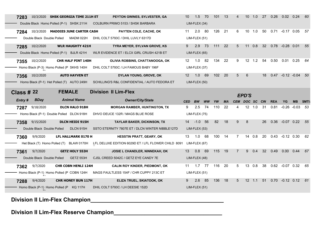| 7283        |                            | 10/3/2020 SHSK GEORGIA TIME 211H ET       |                                                                            | PEYTON GWINES, SYLVESTER, GA                                                                 | 10              | 1.5            | 70 | 101    | 13        |             | 10 <sup>°</sup> | 1.0       | 27 | 0.26       | 0.02                      | 0.24      | 60     |
|-------------|----------------------------|-------------------------------------------|----------------------------------------------------------------------------|----------------------------------------------------------------------------------------------|-----------------|----------------|----|--------|-----------|-------------|-----------------|-----------|----|------------|---------------------------|-----------|--------|
|             |                            |                                           | Double Black Homo Polled (P-1) SHSK 211H COLBURN PRIMO 5153 / SHSK BARBARA |                                                                                              |                 | LIM-FLEX (34)  |    |        |           |             |                 |           |    |            |                           |           |        |
| 7284        |                            | 10/3/2020 MADDIES JUNE CARTER CASH        |                                                                            | PAYTEN COLE, CACHE, OK                                                                       | 11              | $2.0$ 80       |    | 126 21 |           | 6           |                 | 10 1.0    |    |            | 50  0.71  -0.17  0.05  57 |           |        |
|             | Double Black Double Polled | MADM 022H                                 | DHIL COLT 5793C / DHIL LUVLY 6317D                                         |                                                                                              |                 | LIM-FLEX (51)  |    |        |           |             |                 |           |    |            |                           |           |        |
| 7285        | 10/2/2020                  | <b>WLR HAUGHTY 421H</b>                   |                                                                            | TYRA MEYER, SYLVAN GROVE, KS                                                                 | 9               | 2.9 73         |    | 111 22 |           | 5           |                 | 11 0.8    |    |            | 32  0.78  -0.28  0.01     |           | - 55   |
|             |                            | Double Black Homo Polled (P-1) BJLR 421H  | WLR EVIDENCE ET / ELCX GIRL CRUSH 421B ET                                  |                                                                                              |                 | $LIM-FLEX(65)$ |    |        |           |             |                 |           |    |            |                           |           |        |
|             | 7355 10/2/2020             | <b>CHR HALF PINT 140H</b>                 |                                                                            | OLIVIA ROBBINS, CHATTANOOGA, OK                                                              | 12              | $1.0$ 82       |    | 134    | 22        | 9           | $12 \quad 1.2$  |           | 54 |            | 0.50  0.01  0.25          |           | - 64   |
|             |                            | Homo Black (P-3) Homo Polled (P SKHS 140H | DHIL COLT 5793C / LH FAMOUS BABY 196F                                      |                                                                                              |                 | LIM-FLEX (37)  |    |        |           |             |                 |           |    |            |                           |           |        |
|             | 7356 10/2/2020             | <b>AUTO HAYVEN ET</b>                     |                                                                            | DYLAN YOUNG, GROVE, OK                                                                       | 12 <sup>7</sup> | 1.0            | 69 | 102 20 |           | $5^{\circ}$ | 6               |           | 18 |            | $0.47 -0.12 -0.04$ 50     |           |        |
|             |                            | Homo Black (P-1) Het Polled (T) AUTO 249H | SCHILLING'S R&L CONFIDENTIAL / AUTO FEDORA ET                              |                                                                                              |                 | LIM-FLEX (50)  |    |        |           |             |                 |           |    |            |                           |           |        |
| Class $#22$ |                            | <b>FEMALE</b>                             | <b>Division II Lim-Flex</b>                                                |                                                                                              |                 |                |    |        |           |             | <b>EPD'S</b>    |           |    |            |                           |           |        |
| Entry#      | <b>BDay</b>                | <b>Animal Name</b>                        |                                                                            |                                                                                              |                 |                |    |        |           |             |                 |           |    |            |                           |           |        |
|             |                            |                                           |                                                                            | <b>Owner/City/State</b>                                                                      | <b>CED</b>      | <b>BW</b>      |    | YW     | <b>MA</b> | <b>CEM</b>  |                 | DOC SC CW |    | <b>REA</b> | YG                        | <b>MB</b> | \$MTI: |
| 7287        | 9/18/2020                  | <b>DLCN HALO 918H</b>                     |                                                                            | <b>MORGAN RAMBER, HUNTINGTON, TX</b>                                                         | 9               | 2.5            | 74 | 110    | 22        |             | 12              | 1.0       | 31 | 0.81       | $-0.26 - 0.03$            |           | -53    |
|             |                            | Homo Black (P-1) Double Polled DLCN 918H  | DHVO DEUCE 132R / MAGS BLUE ROSE                                           |                                                                                              |                 | LIM-FLEX (75)  |    |        |           |             |                 |           |    |            |                           |           |        |
| 7358        | 9/15/2020                  | <b>DLCN HEIDI 915H</b>                    |                                                                            | <b>TAYLAR BAKER, DICKINSON, TX</b>                                                           |                 | 14 -1.0 56     |    | 82     | 18        | 9           | 8               |           | 26 |            | 0.36 -0.07 0.22 55        |           |        |
|             | Double Black Double Polled | DLCN 915H                                 |                                                                            | SSTO ETERNITY 7807E ET / DLCN WINTER NIBBLE127D                                              |                 | LIM-FLEX (53)  |    |        |           |             |                 |           |    |            |                           |           |        |
| 7360        | 9/9/2020                   | LFL HALLMARK 0170 H                       |                                                                            | <b>HESSTIN PRATT, GEARY, OK</b>                                                              | 13              | 1.0 68         |    | 100 14 |           | 7           |                 | 14 0.8    | 20 |            | $0.43 -0.12$ 0.30 62      |           |        |
|             |                            |                                           |                                                                            | Het Black (T) Homo Polled (T) BLAW 0170H LFL DELUXE EDITION 6029D ET / LFL FLOWER CHILD 8091 |                 | LIM-FLEX (67)  |    |        |           |             |                 |           |    |            |                           |           |        |
| 7361        | 9/7/2020                   | <b>GETZ HOLY 553H</b>                     |                                                                            | <b>JOSIE L CHANDLER, NINNEKAH, OK</b>                                                        | 13              | $0.8$ 69       |    | 115    | 19        | 7           |                 | 90.4      | 32 | 0.49       | $0.00$ $0.44$             |           | 67     |
|             | Double Black Double Polled | GETZ 553H                                 | CJSL CREED 5042C / GETZ EYE CANDY 7E                                       |                                                                                              |                 | LIM-FLEX (48)  |    |        |           |             |                 |           |    |            |                           |           |        |
| 7362        | 9/7/2020                   | <b>CHR COBN HENLI 124H</b>                |                                                                            | <b>CALIN ROY KINDER, PIEDMONT, OK</b>                                                        | 11              | $1.7$ 77       |    | 116    | 20        | 5           | 13 0.8          |           | 38 |            | $0.62 -0.07 0.32$         |           | - 65   |
|             |                            | Homo Black (P-1) Homo Polled (P COBN 124H | MAGS FAULTLESS 154F / CHR CUPPY 213C ET                                    |                                                                                              |                 | LIM-FLEX (51)  |    |        |           |             |                 |           |    |            |                           |           |        |
| 7288        | 9/4/2020                   | <b>CHR HONEY BUN 117H</b>                 |                                                                            | ELIZA TRUEL, SKIATOOK, OK                                                                    | 9               | 2.6            | 85 | 136    | 18        | 5           | $12$ 1.1        |           | 51 |            | 0.70 -0.12 0.12 61        |           |        |

# **Division II Lim-Flex Champion\_\_\_\_\_\_\_\_\_\_\_\_\_\_\_\_\_\_\_\_\_\_\_\_\_\_\_\_\_\_\_\_\_\_\_\_\_\_\_\_\_\_\_**

**Division II Lim-Flex Reserve Champion\_\_\_\_\_\_\_\_\_\_\_\_\_\_\_\_\_\_\_\_\_\_\_\_\_\_\_\_\_\_\_\_\_\_\_**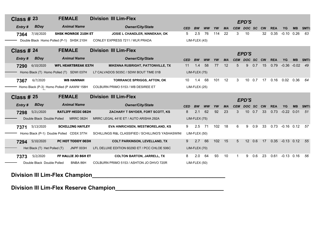| Class $#23$   | <b>FEMALE</b>                             |                            | <b>Division III Lim-Flex</b>                       |                 |                |    |                  |     |            | <b>EPD'S</b>               |           |           |            |                |           |              |
|---------------|-------------------------------------------|----------------------------|----------------------------------------------------|-----------------|----------------|----|------------------|-----|------------|----------------------------|-----------|-----------|------------|----------------|-----------|--------------|
| Entry #       | <b>BDay</b>                               | <b>Animal Name</b>         | <b>Owner/City/State</b>                            | <b>CED</b>      | <b>BW</b>      |    |                  |     | <b>CEM</b> | <b>DOC</b>                 | <b>SC</b> | <b>CW</b> | <b>REA</b> | YG             | <b>MB</b> | \$MTI:       |
| 7364          | 7/18/2020                                 | <b>SHSK MONROE 210H ET</b> | <b>JOSIE L CHANDLER, NINNEKAH, OK</b>              | 5               | 2.5            | 76 | 114              | -22 | 3          | 10                         |           | 32        | 0.35       | $-0.10$ $0.26$ |           | 63           |
|               | Double Black Homo Polled (P-1) SHSK 210H  |                            | CONLEY EXPRESS 7211 / WLR PRADA                    |                 | LIM-FLEX (43)  |    |                  |     |            |                            |           |           |            |                |           |              |
| Class $#24$   | <b>FEMALE</b>                             |                            | <b>Division III Lim-Flex</b>                       |                 |                |    |                  |     |            | <b>EPD'S</b>               |           |           |            |                |           |              |
| <b>Entry#</b> | <b>BDay</b>                               | <b>Animal Name</b>         | <b>Owner/City/State</b>                            | <b>CED</b>      | BW             |    | YW               | МA  | <b>CEM</b> | <b>DOC</b>                 | <b>SC</b> | <b>CW</b> | <b>REA</b> | YG             | <b>MB</b> | \$MTI:       |
| 7290          | 6/10/2020                                 | <b>WFL HEARTBREAK 037H</b> | <b>MIKENNA RUBRIGHT, PATTONVILLE, TX</b>           | 11              | 1.4            | 58 | 77               | 12  | 5          | 9                          | 0.7       | 15        | 0.79       | $-0.36 - 0.02$ |           | 49           |
|               | Homo Black (T) Homo Polled (T) SDWI 037H  |                            | L7 CALVADOS 5035C / SDWI BOUT TIME 01B             |                 | LIM-FLEX (75)  |    |                  |     |            |                            |           |           |            |                |           |              |
| 7367          | 6/7/2020                                  | <b>WB HANNAH</b>           | <b>TORRANCE SPRIGGS, AFTON, OK</b>                 | 10 <sup>1</sup> | 1.4 68         |    | 101              | 12  | 3          | $10 \t 0.7$                |           | 17        | 0.16       | $0.02$ 0.36    |           | 64           |
|               | Homo Black (P-3) Homo Polled (P AAWW 158H |                            | COLBURN PRIMO 5153 / WB DESIREE ET                 |                 | $LIM-FLEX(25)$ |    |                  |     |            |                            |           |           |            |                |           |              |
|               |                                           |                            |                                                    |                 |                |    |                  |     |            |                            |           |           |            |                |           |              |
| Class $\#$ 25 | <b>FEMALE</b>                             |                            | <b>Division III Lim-Flex</b>                       |                 |                |    |                  |     |            |                            |           |           |            |                |           |              |
| Entry #       | <b>BDay</b>                               | <b>Animal Name</b>         | <b>Owner/City/State</b>                            | <b>CED</b>      | <b>BW</b>      |    |                  |     | <b>CEM</b> | <b>EPD'S</b><br><b>DOC</b> | <b>SC</b> | <b>CW</b> | <b>REA</b> | YG             | <b>MB</b> | <b>SMTI:</b> |
| 7298          | 5/21/2020                                 | <b>RATLIFF HEIDI 082H</b>  | ZACHARY T SNYDER, FORT SCOTT, KS                   | 8               | 2.1            | 62 | 92               | 23  | 3          | 10 <sup>°</sup>            | 0.7       | 33        | 0.73       | $-0.22$ 0.01   |           | 51           |
|               | Double Black Double Polled                | MRRC 082H                  | MRRC LEGAL 441E ET / AUTO ARISHA 292A              |                 | LIM-FLEX (75)  |    |                  |     |            |                            |           |           |            |                |           |              |
| 7371          | 5/13/2020                                 | <b>SCHILLING HAYLEY</b>    | <b>EVA HINRICHSEN, WESTMORELAND, KS</b>            | 9               | 2.5            | 71 | 102              | 18  | 6          | 9                          | 0.9       | 33        | 0.73       | $-0.16$ 0.12   |           | -57          |
|               | Homo Black (P-1) Double Polled CDSX 377H  |                            | SCHILLINGS R&L CLASSIFIED / SCHILLING'S YASHASWINI |                 | LIM-FLEX (50)  |    |                  |     |            |                            |           |           |            |                |           |              |
| 7294          | 5/10/2020                                 | PC HOT TODDY 003H          | <b>COLT PARKINSON, LEVELLAND, TX</b>               | 9               | 2.7            | 66 | 102 <sub>2</sub> | 15  | 5          | 12 <sup>2</sup>            | 0.6       | 17        | 0.35       | $-0.13$ 0.12   |           | 55           |
|               | Het Black (T) Het Polled (T)              | JNPF 003H                  | LFL DELUXE EDITION 6029D ET / PCC CHLOE 506C       |                 | LIM-FLEX (70)  |    |                  |     |            |                            |           |           |            |                |           |              |
| 7373          | 5/2/2020                                  | FF HALLIE JO 86H ET        | <b>COLTON BARTON, JARRELL, TX</b>                  | 8               | 2.0            | 64 | 93               | 10  |            | 9                          | 0.6       | 23        | 0.61       | $-0.13$ 0.16   |           | 56           |

# **Division III Lim-Flex Champion\_\_\_\_\_\_\_\_\_\_\_\_\_\_\_\_\_\_\_\_\_\_\_\_\_\_\_\_\_\_\_\_\_\_\_\_\_\_\_\_\_\_\_**

**Division III Lim-Flex Reserve Champion\_\_\_\_\_\_\_\_\_\_\_\_\_\_\_\_\_\_\_\_\_\_\_\_\_\_\_\_\_\_\_\_\_\_\_**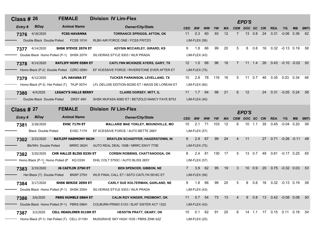| <b>Class # 26</b>                   | <b>FEMALE</b>                             | <b>Division IV Lim-Flex</b>                                                                                                 |                  |                  |                 |           |           |                 | <b>EPD'S</b>    |             |    |                    |                                   |                   |              |
|-------------------------------------|-------------------------------------------|-----------------------------------------------------------------------------------------------------------------------------|------------------|------------------|-----------------|-----------|-----------|-----------------|-----------------|-------------|----|--------------------|-----------------------------------|-------------------|--------------|
| <b>BDay</b><br><b>Entry#</b>        | <b>Animal Name</b>                        | <b>Owner/City/State</b>                                                                                                     | <b>CED</b>       | <b>BW</b>        | <b>WW</b>       | YW        | <b>MA</b> | <b>CEM</b>      | DOC SC CW       |             |    | <b>REA</b>         | YG                                | <b>MB</b>         | SMTI:        |
| 4/18/2020<br>7376                   | <b>FCSS HAVANNA</b>                       | <b>TORRANCE SPRIGGS, AFTON, OK</b>                                                                                          | 11               | 0.3              | 60              | 93        | 12        |                 | 13              | 0.8         | 24 |                    | $0.31 - 0.06$ 0.36                |                   | -62          |
| Double Black Double Polled          | <b>FCSS 101H</b>                          | RLBH AIR FORCE ONE / FCSS FRITZO                                                                                            |                  | LIM-FLEX (56)    |                 |           |           |                 |                 |             |    |                    |                                   |                   |              |
| 4/14/2020<br>7377                   | SHSK STEVIE 207H ET                       | <b>ADYSIN MCCARLEY, GIRARD, KS</b>                                                                                          | 9                | 1.8 66           |                 | 99        | 20        | 5               | 8               | 0.8         | 16 |                    | $0.32 -0.13$ 0.19                 |                   | - 58         |
|                                     | Double Black Homo Polled (P-1) SHSK 207H  | SILVEIRAS STYLE 9303 / WLR PRADA                                                                                            |                  | LIM-FLEX (43)    |                 |           |           |                 |                 |             |    |                    |                                   |                   |              |
| 4/14/2020<br>7378                   | <b>RATLIFF HOPE 058H ET</b>               | <b>CAITLYNN MCKINZIE AYERS, GARY, TX</b>                                                                                    |                  | 12  1.0  66      |                 | 96        | 16        | 7               |                 | $11 \t1.4$  | 26 |                    | 0.43 -0.10 -0.02 50               |                   |              |
|                                     | Homo Black (P-2) Double Polled CZRC 058H  | EF XCESSIVE FORCE / RIVERSTONE EVER AFTER ET                                                                                |                  | LIM-FLEX (75)    |                 |           |           |                 |                 |             |    |                    |                                   |                   |              |
| 4/12/2020<br>7379                   | <b>LFL HAVANA ET</b>                      | TUCKER PARKINSON, LEVELLAND, TX                                                                                             |                  | 10 2.8 78        |                 | 116       | 16        | 5               |                 | $11 \t 0.7$ | 46 |                    | $0.35$ $0.03$ $0.34$ 66           |                   |              |
|                                     | Homo Black (P-3) Het Polled (T) TKJP 007H | LFL DELUXE EDITION 6029D ET / MAGS DE LOREAN ET                                                                             |                  | LIM-FLEX (60)    |                 |           |           |                 |                 |             |    |                    |                                   |                   |              |
| 4/4/2020<br>7380                    | <b>LEGACY'S HALLE BERRY</b>               | <b>CLAIRE DORSEY, WITT, IL</b>                                                                                              |                  | 11  1.7  64      |                 | 98        | 21        | 6               | 12              |             | 24 |                    | 0.31 -0.05 0.24 58                |                   |              |
| Double Black Double Polled          | DRSY 48H                                  | SHSK MUFASA 606D ET / BETZOLD NANCY FAYE B753                                                                               |                  | $LIM-FLEX(40)$   |                 |           |           |                 |                 |             |    |                    |                                   |                   |              |
| <b>Class # 27</b>                   | <b>FEMALE</b>                             | <b>Division IV Lim-Flex</b>                                                                                                 |                  |                  |                 |           |           |                 |                 |             |    |                    |                                   |                   |              |
| <b>BDay</b><br>Entry #              | <b>Animal Name</b>                        | <b>Owner/City/State</b>                                                                                                     |                  |                  |                 |           |           |                 | <b>EPD'S</b>    |             |    |                    |                                   |                   |              |
| 3/28/2020<br>7381                   | <b>EVSC 717H ET</b>                       | <b>MALLARIE MAE YOKLEY, MOUNDVILLE, MO</b>                                                                                  | <b>CED</b><br>10 | <b>BW</b><br>2.1 | <b>WW</b><br>71 | YW<br>103 | МA<br>12  | <b>CEM</b><br>6 | DOC SC CW<br>10 | 1.1         | 35 | <b>REA</b><br>0.45 | YG<br>$-0.04$                     | <b>MB</b><br>0.20 | \$MTI:<br>59 |
| <b>Black Double Polled</b>          | EVSC 717H                                 | EF XCESSIVE FORCE / AUTO BETTE 266Y                                                                                         |                  | $LIM-FLEX(57)$   |                 |           |           |                 |                 |             |    |                    |                                   |                   |              |
| 7302 3/23/2020                      | <b>RATLIFF HARMONY 062H</b>               | <b>BRAYLEN SCHAEFFER, HAGERSTOWN, IN</b>                                                                                    | 9                | 2.9              | 67              | 99        | 24        | 4               | 11              |             | 27 |                    | $0.71 - 0.26 - 0.11$ 48           |                   |              |
| <b>Blk/Wht Double Polled</b>        | MRRC 062H                                 | AUTO REAL DEAL 150B / MRRC ENVY 770E                                                                                        |                  | LIM-FLEX (75)    |                 |           |           |                 |                 |             |    |                    |                                   |                   |              |
| 7382<br>3/20/2020                   | <b>CHR HALLIE BLISS 033H ET</b>           | <b>CORBIN ROBBINS, CHATTANOOGA, OK</b>                                                                                      | 8                | 2.4 81           |                 | 130 17    |           | 5               |                 | 13 0.7      | 49 |                    | $0.81 - 0.17 0.25$                |                   | - 65         |
|                                     | Homo Black (P-1) Homo Polled (P KQ 033H   | DHIL COLT 5793C / AUTO BLISS 265Y                                                                                           |                  | $LIM-FLEX(57)$   |                 |           |           |                 |                 |             |    |                    |                                   |                   |              |
| 3/19/2020                           | <b>J6 CAITLIN 275H ET</b>                 | <b>BEN SPENCER, GIBBON, NE</b>                                                                                              | $7^{\circ}$      | $3.9$ 62         |                 | 95        | 19        | 3               |                 | 10 0.9      | 20 |                    | $0.75 -0.32 0.03$                 |                   | - 53         |
| 7383<br>Het Black (T) Double Polled | BNSP 275H                                 | WLR FINAL CALL ET / SSTO CAITLYN 5818C ET                                                                                   |                  | $LIM-FLEX(56)$   |                 |           |           |                 |                 |             |    |                    |                                   |                   |              |
| 3/17/2020                           | <b>SHSK BENJIE 205H ET</b>                | <b>CARLY SUE KOLTERMAN, GARLAND, NE</b>                                                                                     | 9                | 1.8 66           |                 | 99        | 20        | 5               | 8               | 0.8         |    |                    | 16  0.32  -0.13  0.19  58         |                   |              |
| 7384                                |                                           | Double Black Homo Polled (P-1) SHSK 205H SILVEIRAS STYLE 9303 / WLR PRADA                                                   |                  | LIM-FLEX (43)    |                 |           |           |                 |                 |             |    |                    |                                   |                   |              |
|                                     | <b>PBRS HUMBLE 086H ET</b>                |                                                                                                                             | 11               | $0.7$ 54         |                 | 73        |           | $\overline{4}$  | 9               | 0.8         | 13 |                    | $0.42 -0.08 0.08$                 |                   | - 50         |
| 3/6/2020<br>7386                    |                                           | <b>CALIN ROY KINDER, PIEDMONT, OK</b><br>Double Black Homo Polled (P-1) PBRS 086H COLBURN PRIMO 5153 / SLKF SISTER ACT 1322 |                  | $LIM-FLEX(43)$   |                 |           | 13        |                 |                 |             |    |                    |                                   |                   |              |
|                                     |                                           |                                                                                                                             | 10               | $0.1$ 62         |                 | 91        | 20        | 6               |                 |             |    |                    |                                   |                   |              |
| 3/2/2020<br>7387                    | <b>CELL HEADLINER 0110H ET</b>            | <b>HESSTIN PRATT, GEARY, OK</b>                                                                                             |                  |                  |                 |           |           |                 |                 |             |    |                    | 14  1.1  17  0.15  0.11  0.18  54 |                   |              |
|                                     |                                           | Homo Black (P-1) Het Polled (T) CELL 0110H MUSGRAVE SKY HIGH 1535 / PBRS ZINK 62Z                                           |                  | $LIM-FLEX(25)$   |                 |           |           |                 |                 |             |    |                    |                                   |                   |              |